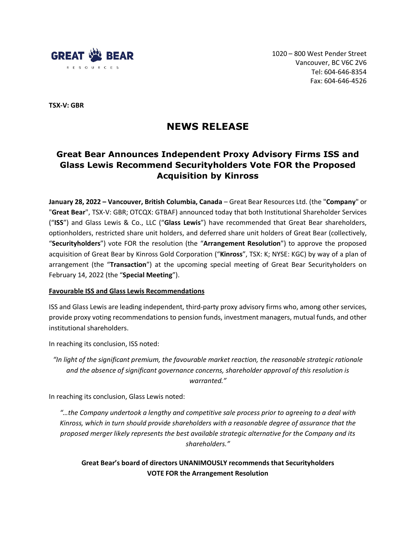

1020 – 800 West Pender Street Vancouver, BC V6C 2V6 Tel: 604-646-8354 Fax: 604-646-4526

**TSX-V: GBR**

# **NEWS RELEASE**

# **Great Bear Announces Independent Proxy Advisory Firms ISS and Glass Lewis Recommend Securityholders Vote FOR the Proposed Acquisition by Kinross**

**January 28, 2022 – Vancouver, British Columbia, Canada** – Great Bear Resources Ltd. (the "**Company**" or "**Great Bear**", TSX-V: GBR; OTCQX: GTBAF) announced today that both Institutional Shareholder Services ("**ISS**") and Glass Lewis & Co., LLC ("**Glass Lewis**") have recommended that Great Bear shareholders, optionholders, restricted share unit holders, and deferred share unit holders of Great Bear (collectively, "**Securityholders**") vote FOR the resolution (the "**Arrangement Resolution**") to approve the proposed acquisition of Great Bear by Kinross Gold Corporation ("**Kinross**", TSX: K; NYSE: KGC) by way of a plan of arrangement (the "**Transaction**") at the upcoming special meeting of Great Bear Securityholders on February 14, 2022 (the "**Special Meeting**").

# **Favourable ISS and Glass Lewis Recommendations**

ISS and Glass Lewis are leading independent, third-party proxy advisory firms who, among other services, provide proxy voting recommendations to pension funds, investment managers, mutual funds, and other institutional shareholders.

In reaching its conclusion, ISS noted:

*"In light of the significant premium, the favourable market reaction, the reasonable strategic rationale and the absence of significant governance concerns, shareholder approval of this resolution is warranted."*

In reaching its conclusion, Glass Lewis noted:

*"…the Company undertook a lengthy and competitive sale process prior to agreeing to a deal with Kinross, which in turn should provide shareholders with a reasonable degree of assurance that the proposed merger likely represents the best available strategic alternative for the Company and its shareholders."*

**Great Bear's board of directors UNANIMOUSLY recommends that Securityholders VOTE FOR the Arrangement Resolution**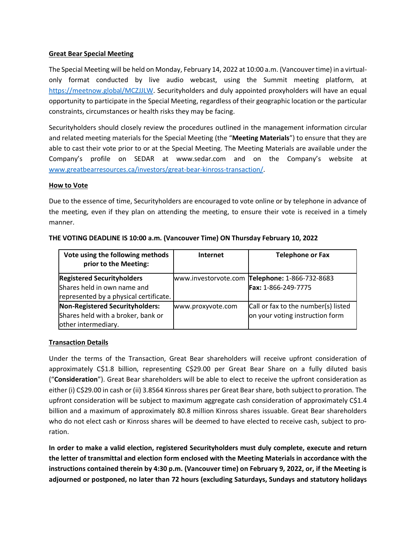# **Great Bear Special Meeting**

The Special Meeting will be held on Monday, February 14, 2022 at 10:00 a.m. (Vancouver time) in a virtualonly format conducted by live audio webcast, using the Summit meeting platform, at [https://meetnow.global/MCZJJLW.](https://meetnow.global/MCZJJLW) Securityholders and duly appointed proxyholders will have an equal opportunity to participate in the Special Meeting, regardless of their geographic location or the particular constraints, circumstances or health risks they may be facing.

Securityholders should closely review the procedures outlined in the management information circular and related meeting materials for the Special Meeting (the "**Meeting Materials**") to ensure that they are able to cast their vote prior to or at the Special Meeting. The Meeting Materials are available under the Company's profile on SEDAR at www.sedar.com and on the Company's website at [www.greatbearresources.ca/investors/great-bear-kinross-transaction/.](http://www.greatbearresources.ca/investors/great-bear-kinross-transaction/)

# **How to Vote**

Due to the essence of time, Securityholders are encouraged to vote online or by telephone in advance of the meeting, even if they plan on attending the meeting, to ensure their vote is received in a timely manner.

| Vote using the following methods<br>prior to the Meeting:                                                  | <b>Internet</b>   | <b>Telephone or Fax</b>                                                |
|------------------------------------------------------------------------------------------------------------|-------------------|------------------------------------------------------------------------|
| <b>Registered Securityholders</b><br>Shares held in own name and<br>represented by a physical certificate. |                   | www.investorvote.com Telephone: 1-866-732-8683<br>Fax: 1-866-249-7775  |
| Non-Registered Securityholders:<br>Shares held with a broker, bank or<br>other intermediary.               | www.proxyvote.com | Call or fax to the number(s) listed<br>on your voting instruction form |

# **THE VOTING DEADLINE IS 10:00 a.m. (Vancouver Time) ON Thursday February 10, 2022**

# **Transaction Details**

Under the terms of the Transaction, Great Bear shareholders will receive upfront consideration of approximately C\$1.8 billion, representing C\$29.00 per Great Bear Share on a fully diluted basis ("**Consideration**"). Great Bear shareholders will be able to elect to receive the upfront consideration as either (i) C\$29.00 in cash or (ii) 3.8564 Kinross shares per Great Bear share, both subject to proration. The upfront consideration will be subject to maximum aggregate cash consideration of approximately C\$1.4 billion and a maximum of approximately 80.8 million Kinross shares issuable. Great Bear shareholders who do not elect cash or Kinross shares will be deemed to have elected to receive cash, subject to proration.

**In order to make a valid election, registered Securityholders must duly complete, execute and return the letter of transmittal and election form enclosed with the Meeting Materials in accordance with the instructions contained therein by 4:30 p.m. (Vancouver time) on February 9, 2022, or, if the Meeting is adjourned or postponed, no later than 72 hours (excluding Saturdays, Sundays and statutory holidays**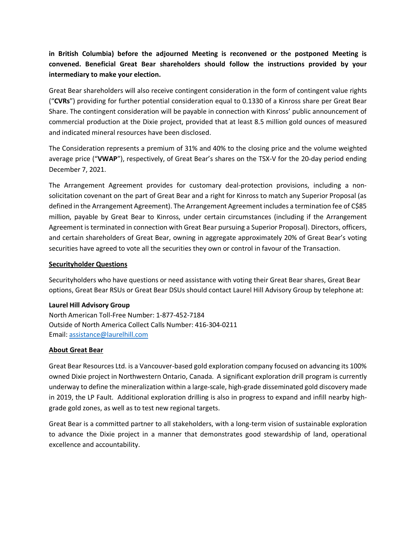**in British Columbia) before the adjourned Meeting is reconvened or the postponed Meeting is convened. Beneficial Great Bear shareholders should follow the instructions provided by your intermediary to make your election.**

Great Bear shareholders will also receive contingent consideration in the form of contingent value rights ("**CVRs**") providing for further potential consideration equal to 0.1330 of a Kinross share per Great Bear Share. The contingent consideration will be payable in connection with Kinross' public announcement of commercial production at the Dixie project, provided that at least 8.5 million gold ounces of measured and indicated mineral resources have been disclosed.

The Consideration represents a premium of 31% and 40% to the closing price and the volume weighted average price ("**VWAP**"), respectively, of Great Bear's shares on the TSX-V for the 20-day period ending December 7, 2021.

The Arrangement Agreement provides for customary deal-protection provisions, including a nonsolicitation covenant on the part of Great Bear and a right for Kinross to match any Superior Proposal (as defined in the Arrangement Agreement). The Arrangement Agreement includes a termination fee of C\$85 million, payable by Great Bear to Kinross, under certain circumstances (including if the Arrangement Agreement is terminated in connection with Great Bear pursuing a Superior Proposal). Directors, officers, and certain shareholders of Great Bear, owning in aggregate approximately 20% of Great Bear's voting securities have agreed to vote all the securities they own or control in favour of the Transaction.

#### **Securityholder Questions**

Securityholders who have questions or need assistance with voting their Great Bear shares, Great Bear options, Great Bear RSUs or Great Bear DSUs should contact Laurel Hill Advisory Group by telephone at:

#### **Laurel Hill Advisory Group**

North American Toll-Free Number: 1-877-452-7184 Outside of North America Collect Calls Number: 416-304-0211 Email: [assistance@laurelhill.com](mailto:assistance@laurelhill.com)

#### **About Great Bear**

Great Bear Resources Ltd. is a Vancouver-based gold exploration company focused on advancing its 100% owned Dixie project in Northwestern Ontario, Canada. A significant exploration drill program is currently underway to define the mineralization within a large-scale, high-grade disseminated gold discovery made in 2019, the LP Fault. Additional exploration drilling is also in progress to expand and infill nearby highgrade gold zones, as well as to test new regional targets.

Great Bear is a committed partner to all stakeholders, with a long-term vision of sustainable exploration to advance the Dixie project in a manner that demonstrates good stewardship of land, operational excellence and accountability.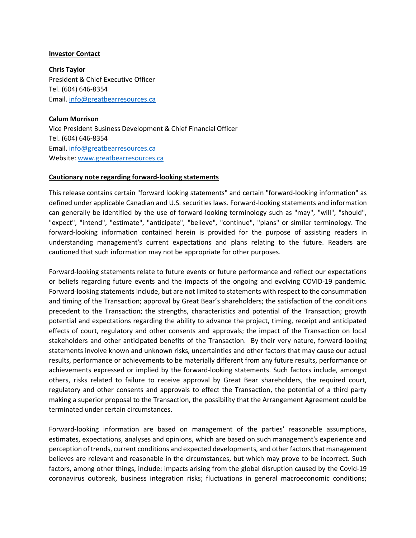#### **Investor Contact**

**Chris Taylor**  President & Chief Executive Officer Tel. (604) 646-8354 Email[. info@greatbearresources.ca](mailto:info@greatbearresources.ca)

**Calum Morrison**  Vice President Business Development & Chief Financial Officer Tel. (604) 646-8354 Email[. info@greatbearresources.ca](mailto:info@greatbearresources.ca) Website[: www.greatbearresources.ca](http://www.greatbearresources.ca/)

#### **Cautionary note regarding forward-looking statements**

This release contains certain "forward looking statements" and certain "forward-looking information" as defined under applicable Canadian and U.S. securities laws. Forward-looking statements and information can generally be identified by the use of forward-looking terminology such as "may", "will", "should", "expect", "intend", "estimate", "anticipate", "believe", "continue", "plans" or similar terminology. The forward-looking information contained herein is provided for the purpose of assisting readers in understanding management's current expectations and plans relating to the future. Readers are cautioned that such information may not be appropriate for other purposes.

Forward-looking statements relate to future events or future performance and reflect our expectations or beliefs regarding future events and the impacts of the ongoing and evolving COVID-19 pandemic. Forward-looking statements include, but are not limited to statements with respect to the consummation and timing of the Transaction; approval by Great Bear's shareholders; the satisfaction of the conditions precedent to the Transaction; the strengths, characteristics and potential of the Transaction; growth potential and expectations regarding the ability to advance the project, timing, receipt and anticipated effects of court, regulatory and other consents and approvals; the impact of the Transaction on local stakeholders and other anticipated benefits of the Transaction. By their very nature, forward-looking statements involve known and unknown risks, uncertainties and other factors that may cause our actual results, performance or achievements to be materially different from any future results, performance or achievements expressed or implied by the forward-looking statements. Such factors include, amongst others, risks related to failure to receive approval by Great Bear shareholders, the required court, regulatory and other consents and approvals to effect the Transaction, the potential of a third party making a superior proposal to the Transaction, the possibility that the Arrangement Agreement could be terminated under certain circumstances.

Forward-looking information are based on management of the parties' reasonable assumptions, estimates, expectations, analyses and opinions, which are based on such management's experience and perception of trends, current conditions and expected developments, and other factors that management believes are relevant and reasonable in the circumstances, but which may prove to be incorrect. Such factors, among other things, include: impacts arising from the global disruption caused by the Covid-19 coronavirus outbreak, business integration risks; fluctuations in general macroeconomic conditions;